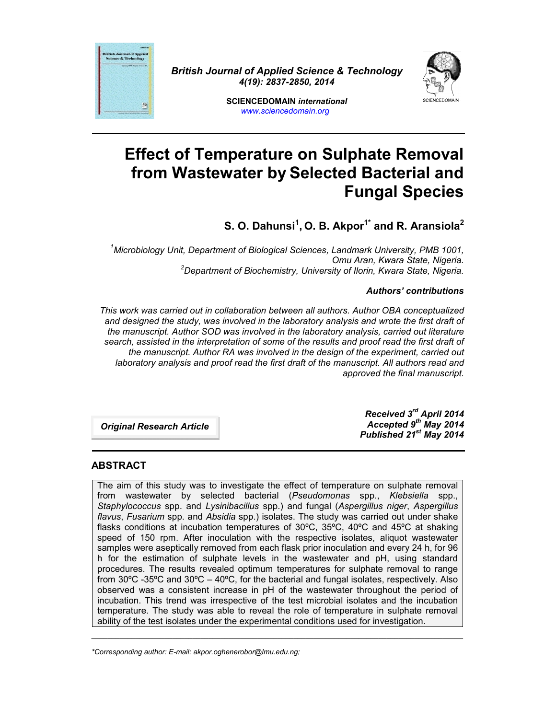

*British Journal of Applied Science & Technology 4(19): 2837-2850, 2014*



**SCIENCEDOMAIN** *international www.sciencedomain.org*

# **Effect of Temperature on Sulphate Removal from Wastewater by Selected Bacterial and Fungal Species**

**S. O. Dahunsi<sup>1</sup> , O. B. Akpor1\* and R. Aransiola<sup>2</sup>**

*<sup>1</sup>Microbiology Unit, Department of Biological Sciences, Landmark University, PMB 1001,* <sup>2</sup>Department of Biochemistry, University of Ilorin, Kwara State, Nigeria.

#### *Authors' contributions*

*This work was carried out in collaboration between all authors. Author OBA conceptualized and designed the study, was involved in the laboratory analysis and wrote the first draft of the manuscript. Author SOD was involved in the laboratory analysis, carried out literature search, assisted in the interpretation of some of the results and proof read the first draft of the manuscript. Author RA was involved in the design of the experiment, carried out laboratory analysis and proof read the first draft of the manuscript. All authors read and approved the final manuscript.*

*Original Research Article*

*Received 3 rd April 2014 Accepted 9 th May 2014 Published 21st May 2014*

#### **ABSTRACT**

The aim of this study was to investigate the effect of temperature on sulphate removal from wastewater by selected bacterial (*Pseudomonas* spp., *Klebsiella* spp., *Staphylococcus* spp. and *Lysinibacillus* spp.) and fungal (*Aspergillus niger*, *Aspergillus flavus*, *Fusarium* spp. and *Absidia* spp.) isolates. The study was carried out under shake flasks conditions at incubation temperatures of 30ºC, 35ºC, 40ºC and 45ºC at shaking speed of 150 rpm. After inoculation with the respective isolates, aliquot wastewater samples were aseptically removed from each flask prior inoculation and every 24 h, for 96 h for the estimation of sulphate levels in the wastewater and pH, using standard procedures. The results revealed optimum temperatures for sulphate removal to range from 30ºC -35ºC and 30ºC – 40ºC, for the bacterial and fungal isolates, respectively. Also observed was a consistent increase in pH of the wastewater throughout the period of incubation. This trend was irrespective of the test microbial isolates and the incubation temperature. The study was able to reveal the role of temperature in sulphate removal ability of the test isolates under the experimental conditions used for investigation.

\_\_\_\_\_\_\_\_\_\_\_\_\_\_\_\_\_\_\_\_\_\_\_\_\_\_\_\_\_\_\_\_\_\_\_\_\_\_\_\_\_\_\_\_\_\_\_\_\_\_\_\_\_\_\_\_\_\_\_\_\_\_\_\_\_\_\_\_\_\_\_\_\_\_\_\_\_\_\_\_\_\_\_\_\_\_\_\_\_\_\_\_

*<sup>\*</sup>Corresponding author: E-mail: akpor.oghenerobor@lmu.edu.ng;*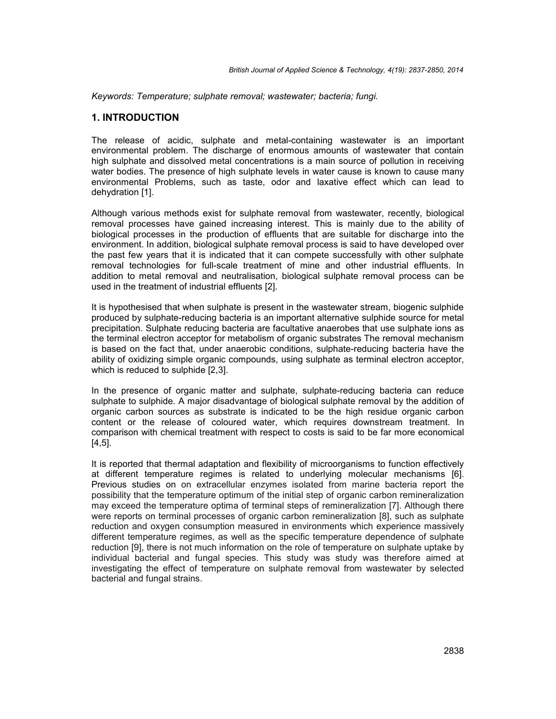*Keywords: Temperature; sulphate removal; wastewater; bacteria; fungi.*

#### **1. INTRODUCTION**

The release of acidic, sulphate and metal-containing wastewater is an important environmental problem. The discharge of enormous amounts of wastewater that contain high sulphate and dissolved metal concentrations is a main source of pollution in receiving water bodies. The presence of high sulphate levels in water cause is known to cause many environmental Problems, such as taste, odor and laxative effect which can lead to dehydration [1].

Although various methods exist for sulphate removal from wastewater, recently, biological removal processes have gained increasing interest. This is mainly due to the ability of biological processes in the production of effluents that are suitable for discharge into the environment. In addition, biological sulphate removal process is said to have developed over the past few years that it is indicated that it can compete successfully with other sulphate removal technologies for full-scale treatment of mine and other industrial effluents. In addition to metal removal and neutralisation, biological sulphate removal process can be used in the treatment of industrial effluents [2].

It is hypothesised that when sulphate is present in the wastewater stream, biogenic sulphide produced by sulphate-reducing bacteria is an important alternative sulphide source for metal precipitation. Sulphate reducing bacteria are facultative anaerobes that use sulphate ions as the terminal electron acceptor for metabolism of organic substrates The removal mechanism is based on the fact that, under anaerobic conditions, sulphate-reducing bacteria have the ability of oxidizing simple organic compounds, using sulphate as terminal electron acceptor, which is reduced to sulphide [2,3].

In the presence of organic matter and sulphate, sulphate-reducing bacteria can reduce sulphate to sulphide. A major disadvantage of biological sulphate removal by the addition of organic carbon sources as substrate is indicated to be the high residue organic carbon content or the release of coloured water, which requires downstream treatment. In comparison with chemical treatment with respect to costs is said to be far more economical [4,5].

It is reported that thermal adaptation and flexibility of microorganisms to function effectively at different temperature regimes is related to underlying molecular mechanisms [6]. Previous studies on on extracellular enzymes isolated from marine bacteria report the possibility that the temperature optimum of the initial step of organic carbon remineralization may exceed the temperature optima of terminal steps of remineralization [7]. Although there were reports on terminal processes of organic carbon remineralization [8], such as sulphate reduction and oxygen consumption measured in environments which experience massively different temperature regimes, as well as the specific temperature dependence of sulphate reduction [9], there is not much information on the role of temperature on sulphate uptake by individual bacterial and fungal species. This study was study was therefore aimed at investigating the effect of temperature on sulphate removal from wastewater by selected bacterial and fungal strains.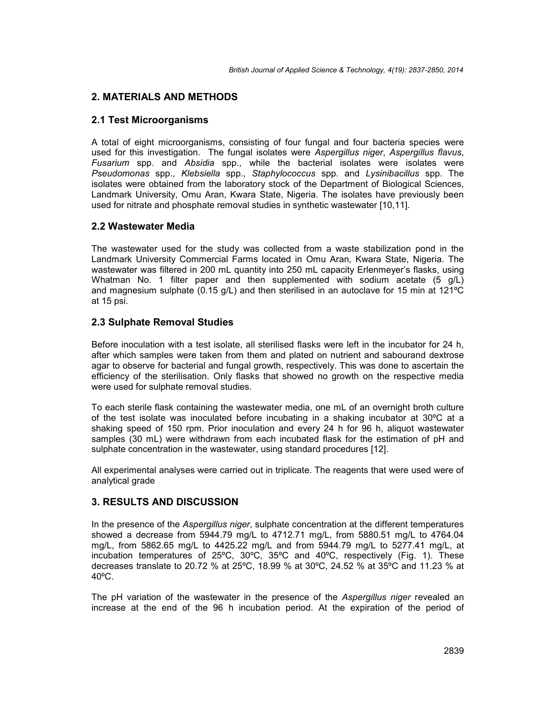## **2. MATERIALS AND METHODS**

## **2.1 Test Microorganisms**

A total of eight microorganisms, consisting of four fungal and four bacteria species were used for this investigation. The fungal isolates were *Aspergillus niger*, *Aspergillus flavus*, *Fusarium* spp. and *Absidia* spp., while the bacterial isolates were isolates were *Pseudomonas* spp., *Klebsiella* spp., *Staphylococcus* spp. and *Lysinibacillus* spp. The isolates were obtained from the laboratory stock of the Department of Biological Sciences, Landmark University, Omu Aran, Kwara State, Nigeria. The isolates have previously been used for nitrate and phosphate removal studies in synthetic wastewater [10,11].

### **2.2 Wastewater Media**

The wastewater used for the study was collected from a waste stabilization pond in the Landmark University Commercial Farms located in Omu Aran, Kwara State, Nigeria. The wastewater was filtered in 200 mL quantity into 250 mL capacity Erlenmeyer's flasks, using Whatman No. 1 filter paper and then supplemented with sodium acetate (5 g/L) and magnesium sulphate (0.15 g/L) and then sterilised in an autoclave for 15 min at 121ºC at 15 psi.

## **2.3 Sulphate Removal Studies**

Before inoculation with a test isolate, all sterilised flasks were left in the incubator for 24 h, after which samples were taken from them and plated on nutrient and sabourand dextrose agar to observe for bacterial and fungal growth, respectively. This was done to ascertain the efficiency of the sterilisation. Only flasks that showed no growth on the respective media were used for sulphate removal studies.

To each sterile flask containing the wastewater media, one mL of an overnight broth culture of the test isolate was inoculated before incubating in a shaking incubator at 30ºC at a shaking speed of 150 rpm. Prior inoculation and every 24 h for 96 h, aliquot wastewater samples (30 mL) were withdrawn from each incubated flask for the estimation of pH and sulphate concentration in the wastewater, using standard procedures [12].

All experimental analyses were carried out in triplicate. The reagents that were used were of analytical grade

## **3. RESULTS AND DISCUSSION**

In the presence of the *Aspergillus niger*, sulphate concentration at the different temperatures showed a decrease from 5944.79 mg/L to 4712.71 mg/L, from 5880.51 mg/L to 4764.04 mg/L, from 5862.65 mg/L to 4425.22 mg/L and from 5944.79 mg/L to 5277.41 mg/L, at incubation temperatures of 25ºC, 30ºC, 35ºC and 40ºC, respectively (Fig. 1). These decreases translate to 20.72 % at 25ºC, 18.99 % at 30ºC, 24.52 % at 35ºC and 11.23 % at 40ºC.

The pH variation of the wastewater in the presence of the *Aspergillus niger* revealed an increase at the end of the 96 h incubation period. At the expiration of the period of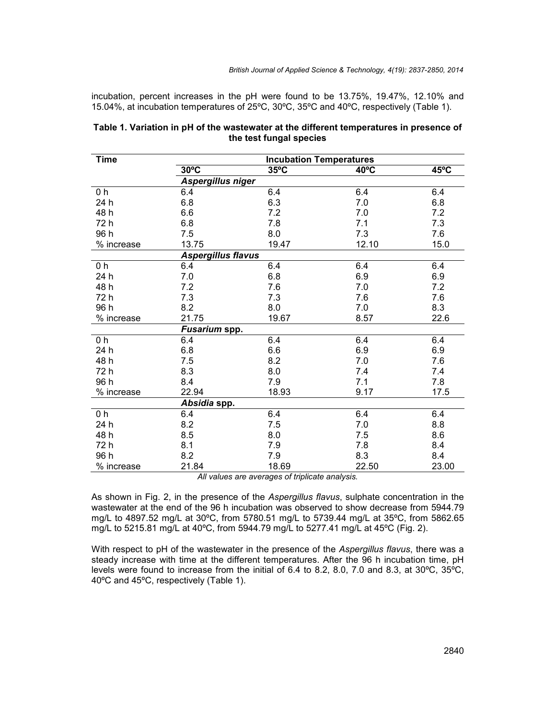incubation, percent increases in the pH were found to be 13.75%, 19.47%, 12.10% and 15.04%, at incubation temperatures of 25ºC, 30ºC, 35ºC and 40ºC, respectively (Table 1).

| Time<br><b>Incubation Temperatures</b>             |                |
|----------------------------------------------------|----------------|
| $30^{\circ}$ C<br>$35^{\circ}$ C<br>$40^{\circ}$ C | $45^{\circ}$ C |
| Aspergillus niger                                  |                |
| 0 <sub>h</sub><br>6.4<br>6.4<br>6.4                | 6.4            |
| 6.3<br>24 h<br>6.8<br>7.0                          | 6.8            |
| 48 h<br>6.6<br>7.2<br>7.0                          | 7.2            |
| 7.8<br>72 h<br>6.8<br>7.1                          | 7.3            |
| 96 h<br>8.0<br>7.3<br>7.5                          | 7.6            |
| % increase<br>13.75<br>19.47<br>12.10              | 15.0           |
| <b>Aspergillus flavus</b>                          |                |
| 6.4<br>0 <sub>h</sub><br>6.4<br>6.4                | 6.4            |
| 7.0<br>6.8<br>6.9<br>24 h                          | 6.9            |
| 48 h<br>7.2<br>7.6<br>7.0                          | 7.2            |
| 72 h<br>7.3<br>7.3<br>7.6                          | 7.6            |
| 96 h<br>8.2<br>8.0<br>7.0                          | 8.3            |
| 21.75<br>19.67<br>8.57<br>% increase               | 22.6           |
| Fusarium spp.                                      |                |
| 6.4<br>6.4<br>0 h<br>6.4                           | 6.4            |
| 6.6<br>6.9<br>24 h<br>6.8                          | 6.9            |
| 48 h<br>7.5<br>8.2<br>7.0                          | 7.6            |
| 72 h<br>8.3<br>8.0<br>7.4                          | 7.4            |
| 96 h<br>7.9<br>7.1<br>8.4                          | 7.8            |
| 9.17<br>22.94<br>18.93<br>% increase               | 17.5           |
| Absidia spp.                                       |                |
| 6.4<br>6.4<br>0 <sub>h</sub><br>6.4                | 6.4            |
| 24 h<br>7.0<br>8.2<br>7.5                          | 8.8            |
| 48 h<br>8.5<br>8.0<br>7.5                          | 8.6            |
| 72 h<br>8.1<br>7.9<br>7.8                          | 8.4            |
| 96 h<br>8.3<br>8.2<br>7.9                          | 8.4            |
| 18.69<br>21.84<br>22.50<br>% increase              | 23.00          |

#### **Table 1. Variation in pH of the wastewater at the different temperatures in presence of the test fungal species**

*All values are averages of triplicate analysis.*

As shown in Fig. 2, in the presence of the *Aspergillus flavus*, sulphate concentration in the wastewater at the end of the 96 h incubation was observed to show decrease from 5944.79 mg/L to 4897.52 mg/L at 30ºC, from 5780.51 mg/L to 5739.44 mg/L at 35ºC, from 5862.65 mg/L to 5215.81 mg/L at 40ºC, from 5944.79 mg/L to 5277.41 mg/L at 45ºC (Fig. 2).

With respect to pH of the wastewater in the presence of the *Aspergillus flavus*, there was a steady increase with time at the different temperatures. After the 96 h incubation time, pH levels were found to increase from the initial of 6.4 to 8.2, 8.0, 7.0 and 8.3, at 30ºC, 35ºC, 40ºC and 45ºC, respectively (Table 1).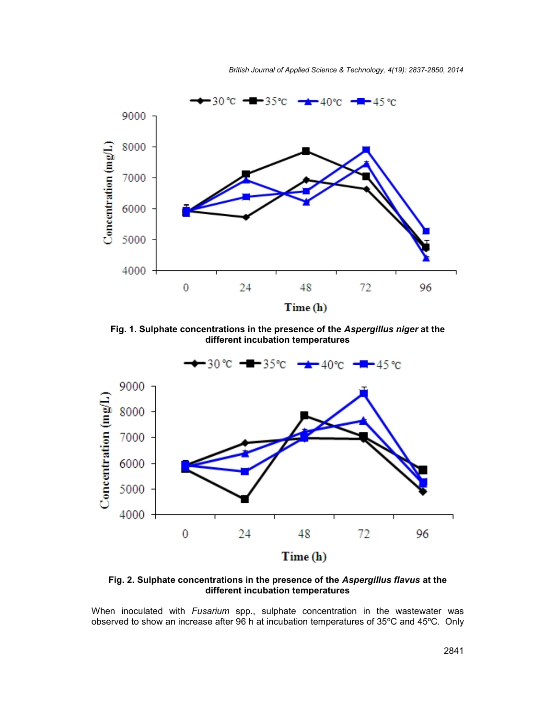*British Journal of Applied Science & Technology, 4(19): 2837-2850, 2014*



**Fig. 1. Sulphate concentrations in the presence of the** *Aspergillus niger* **at the different incubation temperatures**



**Fig. 2. Sulphate concentrations in the presence of the** *Aspergillus flavus* **at the different incubation temperatures**

When inoculated with *Fusarium* spp., sulphate concentration in the wastewater was observed to show an increase after 96 h at incubation temperatures of 35ºC and 45ºC. Only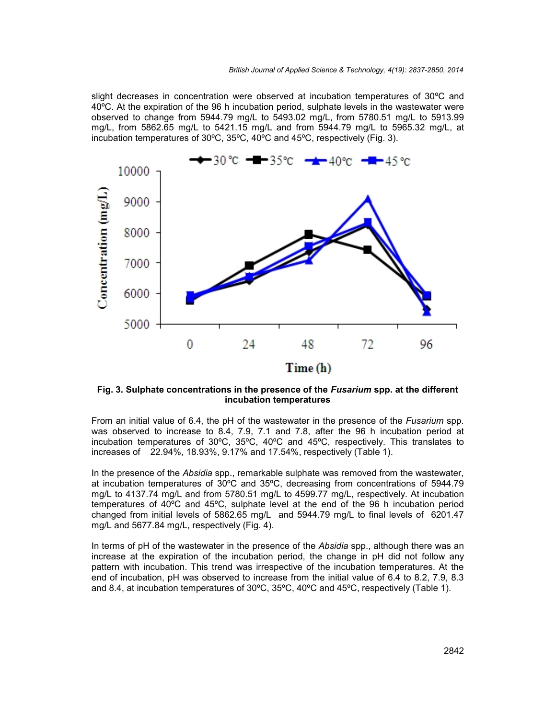slight decreases in concentration were observed at incubation temperatures of 30ºC and 40ºC. At the expiration of the 96 h incubation period, sulphate levels in the wastewater were observed to change from 5944.79 mg/L to 5493.02 mg/L, from 5780.51 mg/L to 5913.99 mg/L, from 5862.65 mg/L to 5421.15 mg/L and from 5944.79 mg/L to 5965.32 mg/L, at incubation temperatures of 30ºC, 35ºC, 40ºC and 45ºC, respectively (Fig. 3).



**Fig. 3. Sulphate concentrations in the presence of the** *Fusarium* **spp. at the different incubation temperatures**

From an initial value of 6.4, the pH of the wastewater in the presence of the *Fusarium* spp. was observed to increase to 8.4, 7.9, 7.1 and 7.8, after the 96 h incubation period at incubation temperatures of 30ºC, 35ºC, 40ºC and 45ºC, respectively. This translates to increases of 22.94%, 18.93%, 9.17% and 17.54%, respectively (Table 1).

In the presence of the *Absidia* spp., remarkable sulphate was removed from the wastewater, at incubation temperatures of 30ºC and 35ºC, decreasing from concentrations of 5944.79 mg/L to 4137.74 mg/L and from 5780.51 mg/L to 4599.77 mg/L, respectively. At incubation temperatures of 40ºC and 45ºC, sulphate level at the end of the 96 h incubation period changed from initial levels of 5862.65 mg/L and 5944.79 mg/L to final levels of 6201.47 mg/L and 5677.84 mg/L, respectively (Fig. 4).

In terms of pH of the wastewater in the presence of the *Absidia* spp., although there was an increase at the expiration of the incubation period, the change in pH did not follow any pattern with incubation. This trend was irrespective of the incubation temperatures. At the end of incubation, pH was observed to increase from the initial value of 6.4 to 8.2, 7.9, 8.3 and 8.4, at incubation temperatures of 30ºC, 35ºC, 40ºC and 45ºC, respectively (Table 1).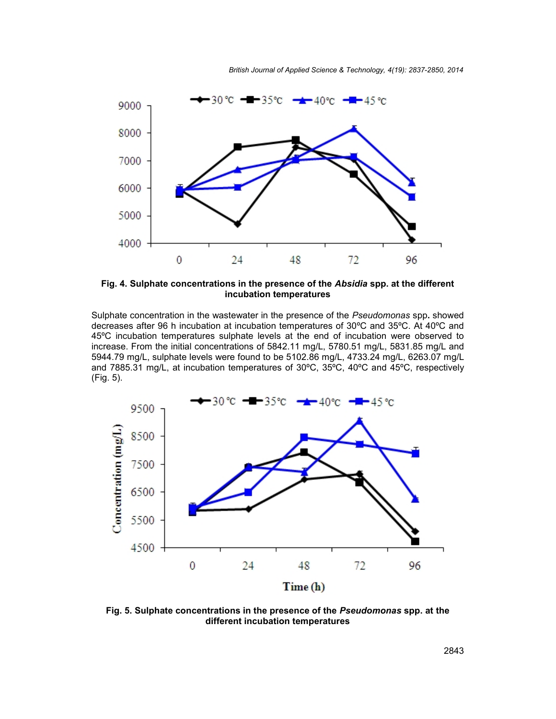*British Journal of Applied Science & Technology, 4(19): 2837-2850, 2014*



**Fig. 4. Sulphate concentrations in the presence of the** *Absidia* **spp. at the different incubation temperatures**

Sulphate concentration in the wastewater in the presence of the *Pseudomonas* spp**.** showed decreases after 96 h incubation at incubation temperatures of 30ºC and 35ºC. At 40ºC and 45ºC incubation temperatures sulphate levels at the end of incubation were observed to increase. From the initial concentrations of 5842.11 mg/L, 5780.51 mg/L, 5831.85 mg/L and 5944.79 mg/L, sulphate levels were found to be 5102.86 mg/L, 4733.24 mg/L, 6263.07 mg/L and 7885.31 mg/L, at incubation temperatures of 30ºC, 35ºC, 40ºC and 45ºC, respectively (Fig. 5).



**Fig. 5. Sulphate concentrations in the presence of the** *Pseudomonas* **spp. at the different incubation temperatures**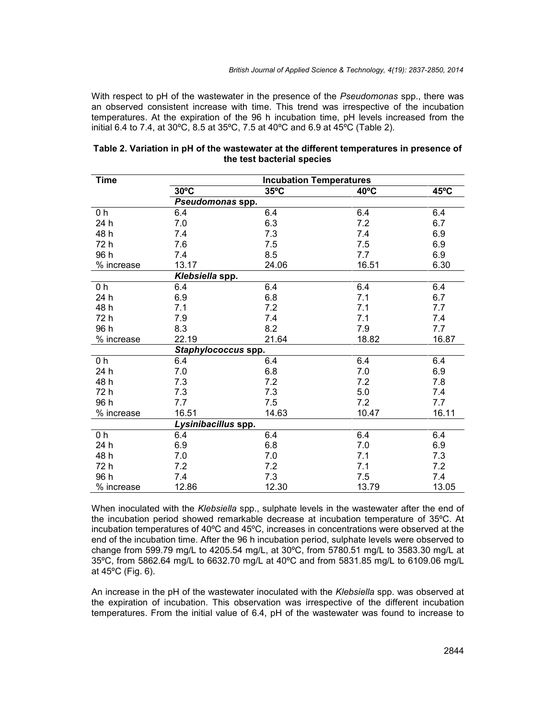With respect to pH of the wastewater in the presence of the *Pseudomonas* spp., there was an observed consistent increase with time. This trend was irrespective of the incubation temperatures. At the expiration of the 96 h incubation time, pH levels increased from the initial 6.4 to 7.4, at 30ºC, 8.5 at 35ºC, 7.5 at 40ºC and 6.9 at 45ºC (Table 2).

| <b>Time</b> | <b>Incubation Temperatures</b> |                |                |       |  |
|-------------|--------------------------------|----------------|----------------|-------|--|
|             | $30^{\circ}$ C                 | $35^{\circ}$ C | $40^{\circ}$ C | 45°C  |  |
|             | Pseudomonas spp.               |                |                |       |  |
| 0 h         | 6.4                            | 6.4            | 6.4            | 6.4   |  |
| 24 h        | 7.0                            | 6.3            | 7.2            | 6.7   |  |
| 48 h        | 7.4                            | 7.3            | 7.4            | 6.9   |  |
| 72 h        | 7.6                            | 7.5            | 7.5            | 6.9   |  |
| 96 h        | 7.4                            | 8.5            | 7.7            | 6.9   |  |
| % increase  | 13.17                          | 24.06          | 16.51          | 6.30  |  |
|             | Klebsiella spp.                |                |                |       |  |
| 0 h         | 6.4                            | 6.4            | 6.4            | 6.4   |  |
| 24 h        | 6.9                            | 6.8            | 7.1            | 6.7   |  |
| 48h         | 7.1                            | 7.2            | 7.1            | 7.7   |  |
| 72 h        | 7.9                            | 7.4            | 7.1            | 7.4   |  |
| 96 h        | 8.3                            | 8.2            | 7.9            | 7.7   |  |
| % increase  | 22.19                          | 21.64          | 18.82          | 16.87 |  |
|             | Staphylococcus spp.            |                |                |       |  |
| 0 h         | 6.4                            | 6.4            | 6.4            | 6.4   |  |
| 24 h        | 7.0                            | 6.8            | 7.0            | 6.9   |  |
| 48h         | 7.3                            | 7.2            | 7.2            | 7.8   |  |
| 72 h        | 7.3                            | 7.3            | 5.0            | 7.4   |  |
| 96 h        | 7.7                            | 7.5            | 7.2            | 7.7   |  |
| % increase  | 16.51                          | 14.63          | 10.47          | 16.11 |  |
|             | Lysinibacillus spp.            |                |                |       |  |
| 0 h         | 6.4                            | 6.4            | 6.4            | 6.4   |  |
| 24 h        | 6.9                            | 6.8            | 7.0            | 6.9   |  |
| 48 h        | 7.0                            | 7.0            | 7.1            | 7.3   |  |
| 72 h        | 7.2                            | 7.2            | 7.1            | 7.2   |  |
| 96 h        | 7.4                            | 7.3            | 7.5            | 7.4   |  |
| % increase  | 12.86                          | 12.30          | 13.79          | 13.05 |  |

| Table 2. Variation in pH of the wastewater at the different temperatures in presence of |  |  |  |  |
|-----------------------------------------------------------------------------------------|--|--|--|--|
| the test bacterial species                                                              |  |  |  |  |

When inoculated with the *Klebsiella* spp., sulphate levels in the wastewater after the end of the incubation period showed remarkable decrease at incubation temperature of 35ºC. At incubation temperatures of 40ºC and 45ºC, increases in concentrations were observed at the end of the incubation time. After the 96 h incubation period, sulphate levels were observed to change from 599.79 mg/L to 4205.54 mg/L, at 30ºC, from 5780.51 mg/L to 3583.30 mg/L at 35ºC, from 5862.64 mg/L to 6632.70 mg/L at 40ºC and from 5831.85 mg/L to 6109.06 mg/L at 45ºC (Fig. 6).

An increase in the pH of the wastewater inoculated with the *Klebsiella* spp. was observed at the expiration of incubation. This observation was irrespective of the different incubation temperatures. From the initial value of 6.4, pH of the wastewater was found to increase to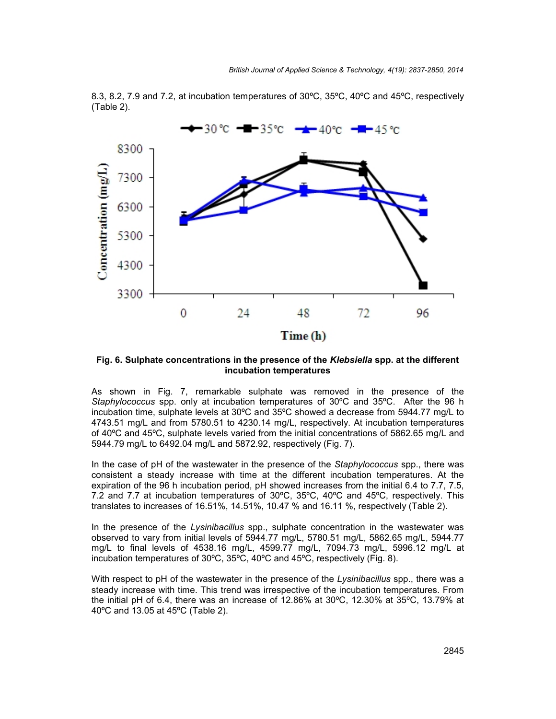

8.3, 8.2, 7.9 and 7.2, at incubation temperatures of 30ºC, 35ºC, 40ºC and 45ºC, respectively (Table 2).

**Fig. 6. Sulphate concentrations in the presence of the** *Klebsiella* **spp. at the different incubation temperatures**

As shown in Fig. 7, remarkable sulphate was removed in the presence of the *Staphylococcus* spp. only at incubation temperatures of 30ºC and 35ºC. After the 96 h incubation time, sulphate levels at 30ºC and 35ºC showed a decrease from 5944.77 mg/L to 4743.51 mg/L and from 5780.51 to 4230.14 mg/L, respectively. At incubation temperatures of 40ºC and 45ºC, sulphate levels varied from the initial concentrations of 5862.65 mg/L and 5944.79 mg/L to 6492.04 mg/L and 5872.92, respectively (Fig. 7).

In the case of pH of the wastewater in the presence of the *Staphylococcus* spp., there was consistent a steady increase with time at the different incubation temperatures. At the expiration of the 96 h incubation period, pH showed increases from the initial 6.4 to 7.7, 7.5, 7.2 and 7.7 at incubation temperatures of 30ºC, 35ºC, 40ºC and 45ºC, respectively. This translates to increases of 16.51%, 14.51%, 10.47 % and 16.11 %, respectively (Table 2).

In the presence of the *Lysinibacillus* spp., sulphate concentration in the wastewater was observed to vary from initial levels of 5944.77 mg/L, 5780.51 mg/L, 5862.65 mg/L, 5944.77 mg/L to final levels of 4538.16 mg/L, 4599.77 mg/L, 7094.73 mg/L, 5996.12 mg/L at incubation temperatures of 30ºC, 35ºC, 40ºC and 45ºC, respectively (Fig. 8).

With respect to pH of the wastewater in the presence of the *Lysinibacillus* spp., there was a steady increase with time. This trend was irrespective of the incubation temperatures. From the initial pH of 6.4, there was an increase of 12.86% at 30ºC, 12.30% at 35ºC, 13.79% at 40ºC and 13.05 at 45ºC (Table 2).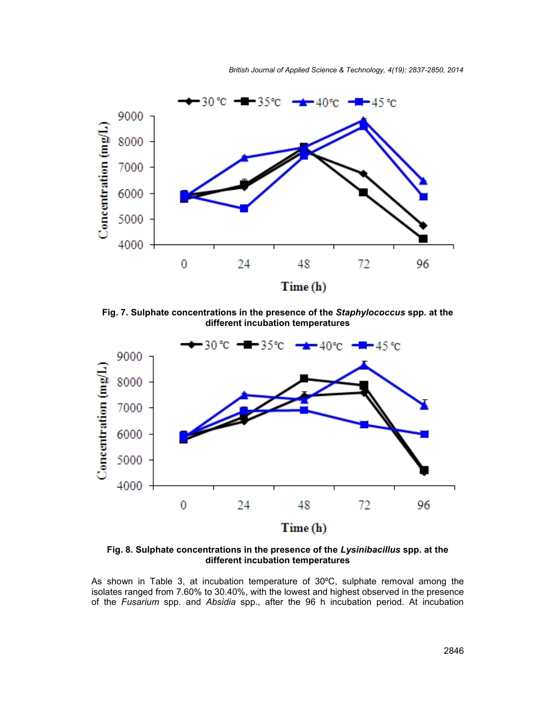*British Journal of Applied Science & Technology, 4(19): 2837-2850, 2014*



**Fig. 7. Sulphate concentrations in the presence of the** *Staphylococcus* **spp. at the different incubation temperatures**



**Fig. 8. Sulphate concentrations in the presence of the** *Lysinibacillus* **spp. at the different incubation temperatures**

As shown in Table 3, at incubation temperature of 30ºC, sulphate removal among the isolates ranged from 7.60% to 30.40%, with the lowest and highest observed in the presence of the *Fusarium* spp. and *Absidia* spp., after the 96 h incubation period. At incubation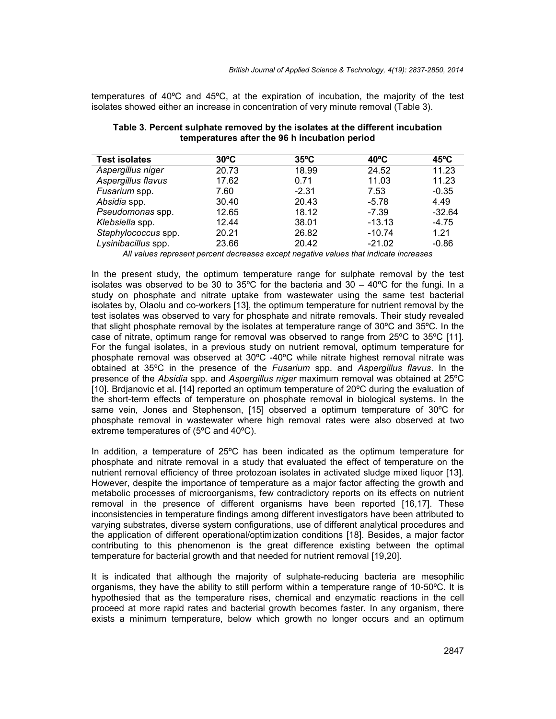temperatures of 40ºC and 45ºC, at the expiration of incubation, the majority of the test isolates showed either an increase in concentration of very minute removal (Table 3).

| <b>Test isolates</b> | $30^{\circ}$ C | $35^{\circ}$ C | $40^{\circ}$ C | $45^{\circ}$ C |
|----------------------|----------------|----------------|----------------|----------------|
| Aspergillus niger    | 20.73          | 18.99          | 24.52          | 11.23          |
| Aspergillus flavus   | 17.62          | 0.71           | 11.03          | 11.23          |
| Fusarium spp.        | 7.60           | $-2.31$        | 7.53           | $-0.35$        |
| Absidia spp.         | 30.40          | 20.43          | $-5.78$        | 4.49           |
| Pseudomonas spp.     | 12.65          | 18.12          | $-7.39$        | $-32.64$       |
| Klebsiella spp.      | 12.44          | 38.01          | $-13.13$       | $-4.75$        |
| Staphylococcus spp.  | 20.21          | 26.82          | $-10.74$       | 1.21           |
| Lysinibacillus spp.  | 23.66          | 20.42          | $-21.02$       | $-0.86$        |

### **Table 3. Percent sulphate removed by the isolates at the different incubation temperatures after the 96 h incubation period**

*All values represent percent decreases except negative values that indicate increases*

In the present study, the optimum temperature range for sulphate removal by the test isolates was observed to be 30 to 35 $^{\circ}$ C for the bacteria and 30 – 40 $^{\circ}$ C for the fungi. In a study on phosphate and nitrate uptake from wastewater using the same test bacterial isolates by, Olaolu and co-workers [13], the optimum temperature for nutrient removal by the test isolates was observed to vary for phosphate and nitrate removals. Their study revealed that slight phosphate removal by the isolates at temperature range of 30ºC and 35ºC. In the case of nitrate, optimum range for removal was observed to range from 25ºC to 35ºC [11]. For the fungal isolates, in a previous study on nutrient removal, optimum temperature for phosphate removal was observed at 30ºC -40ºC while nitrate highest removal nitrate was obtained at 35ºC in the presence of the *Fusarium* spp. and *Aspergillus flavus*. In the presence of the *Absidia* spp. and *Aspergillus niger* maximum removal was obtained at 25ºC [10]. Brdjanovic et al. [14] reported an optimum temperature of 20ºC during the evaluation of the short-term effects of temperature on phosphate removal in biological systems. In the same vein, Jones and Stephenson, [15] observed a optimum temperature of 30ºC for phosphate removal in wastewater where high removal rates were also observed at two extreme temperatures of (5ºC and 40ºC).

In addition, a temperature of 25ºC has been indicated as the optimum temperature for phosphate and nitrate removal in a study that evaluated the effect of temperature on the nutrient removal efficiency of three protozoan isolates in activated sludge mixed liquor [13]. However, despite the importance of temperature as a major factor affecting the growth and metabolic processes of microorganisms, few contradictory reports on its effects on nutrient removal in the presence of different organisms have been reported [16,17]. These inconsistencies in temperature findings among different investigators have been attributed to varying substrates, diverse system configurations, use of different analytical procedures and the application of different operational/optimization conditions [18]. Besides, a major factor contributing to this phenomenon is the great difference existing between the optimal temperature for bacterial growth and that needed for nutrient removal [19,20].

It is indicated that although the majority of sulphate-reducing bacteria are mesophilic organisms, they have the ability to still perform within a temperature range of 10-50ºC. It is hypothesied that as the temperature rises, chemical and enzymatic reactions in the cell proceed at more rapid rates and bacterial growth becomes faster. In any organism, there exists a minimum temperature, below which growth no longer occurs and an optimum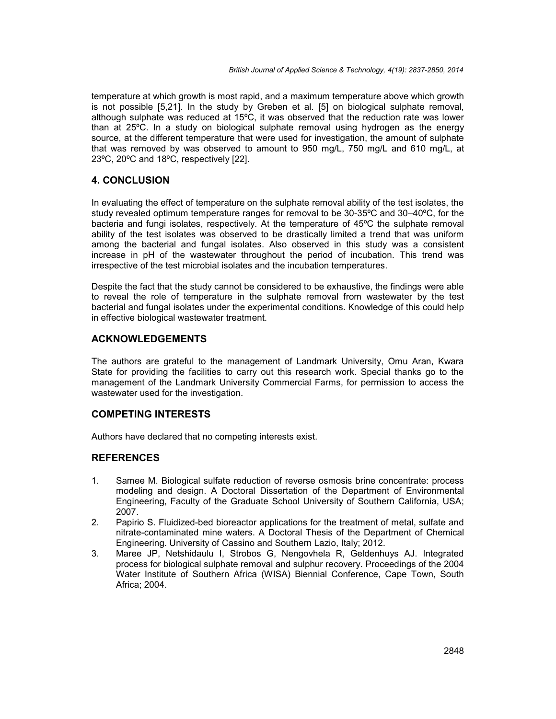temperature at which growth is most rapid, and a maximum temperature above which growth is not possible [5,21]. In the study by Greben et al. [5] on biological sulphate removal, although sulphate was reduced at 15ºC, it was observed that the reduction rate was lower than at 25ºC. In a study on biological sulphate removal using hydrogen as the energy source, at the different temperature that were used for investigation, the amount of sulphate that was removed by was observed to amount to 950 mg/L, 750 mg/L and 610 mg/L, at 23ºC, 20ºC and 18ºC, respectively [22].

## **4. CONCLUSION**

In evaluating the effect of temperature on the sulphate removal ability of the test isolates, the study revealed optimum temperature ranges for removal to be 30-35ºC and 30–40ºC, for the bacteria and fungi isolates, respectively. At the temperature of 45ºC the sulphate removal ability of the test isolates was observed to be drastically limited a trend that was uniform among the bacterial and fungal isolates. Also observed in this study was a consistent increase in pH of the wastewater throughout the period of incubation. This trend was irrespective of the test microbial isolates and the incubation temperatures.

Despite the fact that the study cannot be considered to be exhaustive, the findings were able to reveal the role of temperature in the sulphate removal from wastewater by the test bacterial and fungal isolates under the experimental conditions. Knowledge of this could help in effective biological wastewater treatment.

### **ACKNOWLEDGEMENTS**

The authors are grateful to the management of Landmark University, Omu Aran, Kwara State for providing the facilities to carry out this research work. Special thanks go to the management of the Landmark University Commercial Farms, for permission to access the wastewater used for the investigation.

## **COMPETING INTERESTS**

Authors have declared that no competing interests exist.

## **REFERENCES**

- 1. Samee M. Biological sulfate reduction of reverse osmosis brine concentrate: process modeling and design. A Doctoral Dissertation of the Department of Environmental Engineering, Faculty of the Graduate School University of Southern California, USA; 2007.
- 2. Papirio S. Fluidized-bed bioreactor applications for the treatment of metal, sulfate and nitrate-contaminated mine waters. A Doctoral Thesis of the Department of Chemical Engineering. University of Cassino and Southern Lazio, Italy; 2012.
- 3. Maree JP, Netshidaulu I, Strobos G, Nengovhela R, Geldenhuys AJ. Integrated process for biological sulphate removal and sulphur recovery. Proceedings of the 2004 Water Institute of Southern Africa (WISA) Biennial Conference, Cape Town, South Africa; 2004.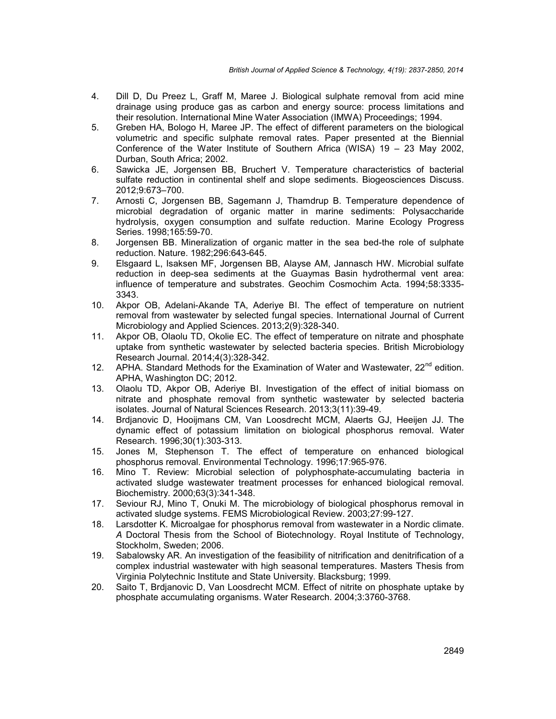- 4. Dill D, Du Preez L, Graff M, Maree J. Biological sulphate removal from acid mine drainage using produce gas as carbon and energy source: process limitations and their resolution. International Mine Water Association (IMWA) Proceedings; 1994.
- 5. Greben HA, Bologo H, Maree JP. The effect of different parameters on the biological volumetric and specific sulphate removal rates. Paper presented at the Biennial Conference of the Water Institute of Southern Africa (WISA) 19 – 23 May 2002, Durban, South Africa; 2002.
- 6. Sawicka JE, Jorgensen BB, Bruchert V. Temperature characteristics of bacterial sulfate reduction in continental shelf and slope sediments. Biogeosciences Discuss. 2012;9:673–700.
- 7. Arnosti C, Jorgensen BB, Sagemann J, Thamdrup B. Temperature dependence of microbial degradation of organic matter in marine sediments: Polysaccharide hydrolysis, oxygen consumption and sulfate reduction. Marine Ecology Progress Series. 1998;165:59-70.
- 8. Jorgensen BB. Mineralization of organic matter in the sea bed-the role of sulphate reduction. Nature. 1982;296:643-645.
- 9. Elsgaard L, Isaksen MF, Jorgensen BB, Alayse AM, Jannasch HW. Microbial sulfate reduction in deep-sea sediments at the Guaymas Basin hydrothermal vent area: influence of temperature and substrates. Geochim Cosmochim Acta. 1994;58:3335- 3343.
- 10. Akpor OB, Adelani-Akande TA, Aderiye BI. The effect of temperature on nutrient removal from wastewater by selected fungal species. International Journal of Current Microbiology and Applied Sciences. 2013;2(9):328-340.
- 11. Akpor OB, Olaolu TD, Okolie EC. The effect of temperature on nitrate and phosphate uptake from synthetic wastewater by selected bacteria species. British Microbiology Research Journal. 2014;4(3):328-342.
- 12. APHA. Standard Methods for the Examination of Water and Wastewater,  $22^{nd}$  edition. APHA, Washington DC; 2012.
- 13. Olaolu TD, Akpor OB, Aderiye BI. Investigation of the effect of initial biomass on nitrate and phosphate removal from synthetic wastewater by selected bacteria isolates. Journal of Natural Sciences Research. 2013;3(11):39-49.
- 14. Brdjanovic D, Hooijmans CM, Van Loosdrecht MCM, Alaerts GJ, Heeijen JJ. The dynamic effect of potassium limitation on biological phosphorus removal. Water Research. 1996;30(1):303-313.
- 15. Jones M, Stephenson T. The effect of temperature on enhanced biological phosphorus removal. Environmental Technology. 1996;17:965-976.
- 16. Mino T. Review: Microbial selection of polyphosphate-accumulating bacteria in activated sludge wastewater treatment processes for enhanced biological removal. Biochemistry. 2000;63(3):341-348.
- 17. Seviour RJ, Mino T, Onuki M. The microbiology of biological phosphorus removal in activated sludge systems. FEMS Microbiological Review. 2003;27:99-127.
- 18. Larsdotter K. Microalgae for phosphorus removal from wastewater in a Nordic climate. *A* Doctoral Thesis from the School of Biotechnology. Royal Institute of Technology, Stockholm, Sweden; 2006.
- 19. Sabalowsky AR. An investigation of the feasibility of nitrification and denitrification of a complex industrial wastewater with high seasonal temperatures. Masters Thesis from Virginia Polytechnic Institute and State University. Blacksburg; 1999.
- 20. Saito T, Brdjanovic D, Van Loosdrecht MCM. Effect of nitrite on phosphate uptake by phosphate accumulating organisms. Water Research. 2004;3:3760-3768.